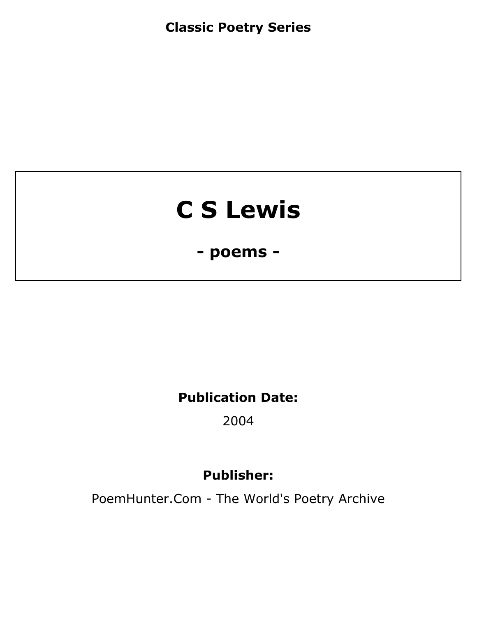**Classic Poetry Series**

# **C S Lewis**

**- poems -**

**Publication Date:**

**2004**

# **Publisher:**

**[PoemHunter.Com - The World's Poetry Archive](http://www.PoemHunter.com)**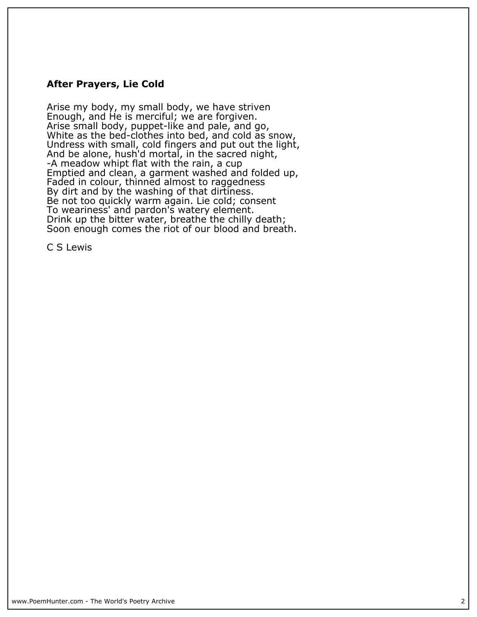### **After Prayers, Lie Cold**

**Arise my body, my small body, we have striven Enough, and He is merciful; we are forgiven. Arise small body, puppet-like and pale, and go, White as the bed-clothes into bed, and cold as snow, Undress with small, cold fingers and put out the light, And be alone, hush'd mortal, in the sacred night, -A meadow whipt flat with the rain, a cup Emptied and clean, a garment washed and folded up, Faded in colour, thinned almost to raggedness By dirt and by the washing of that dirtiness. Be not too quickly warm again. Lie cold; consent To weariness' and pardon's watery element. Drink up the bitter water, breathe the chilly death; Soon enough comes the riot of our blood and breath.**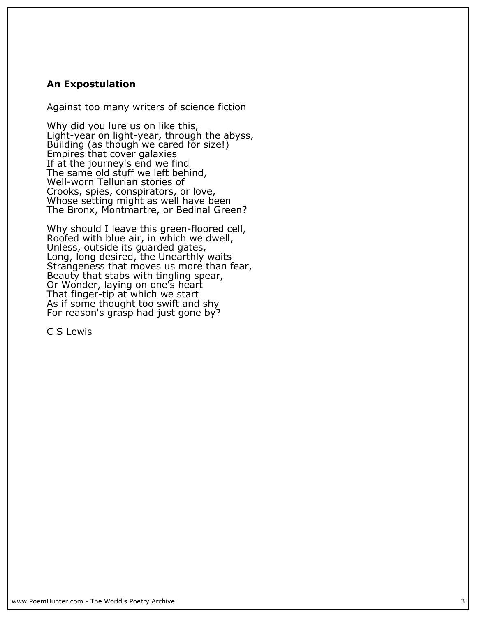# **An Expostulation**

**Against too many writers of science fiction**

**Why did you lure us on like this, Light-year on light-year, through the abyss, Building (as though we cared for size!) Empires that cover galaxies If at the journey's end we find The same old stuff we left behind, Well-worn Tellurian stories of Crooks, spies, conspirators, or love, Whose setting might as well have been The Bronx, Montmartre, or Bedinal Green?**

**Why should I leave this green-floored cell, Roofed with blue air, in which we dwell, Unless, outside its guarded gates, Long, long desired, the Unearthly waits Strangeness that moves us more than fear, Beauty that stabs with tingling spear, Or Wonder, laying on one's heart That finger-tip at which we start As if some thought too swift and shy For reason's grasp had just gone by?**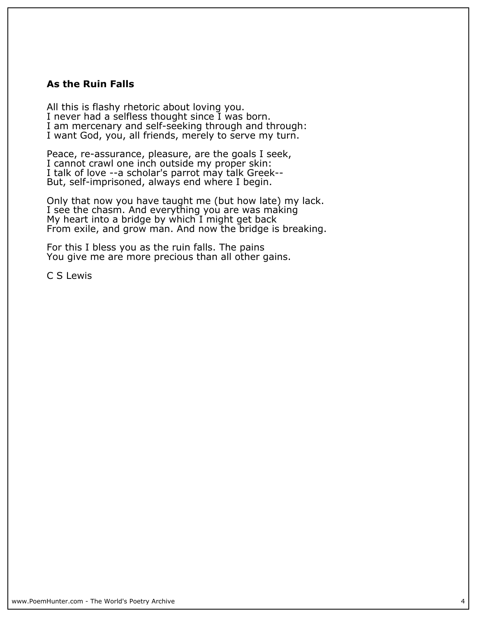#### **As the Ruin Falls**

**All this is flashy rhetoric about loving you. I never had a selfless thought since I was born. I am mercenary and self-seeking through and through: I want God, you, all friends, merely to serve my turn.**

**Peace, re-assurance, pleasure, are the goals I seek, I cannot crawl one inch outside my proper skin: I talk of love --a scholar's parrot may talk Greek-- But, self-imprisoned, always end where I begin.**

**Only that now you have taught me (but how late) my lack. I see the chasm. And everything you are was making My heart into a bridge by which I might get back From exile, and grow man. And now the bridge is breaking.**

**For this I bless you as the ruin falls. The pains You give me are more precious than all other gains.**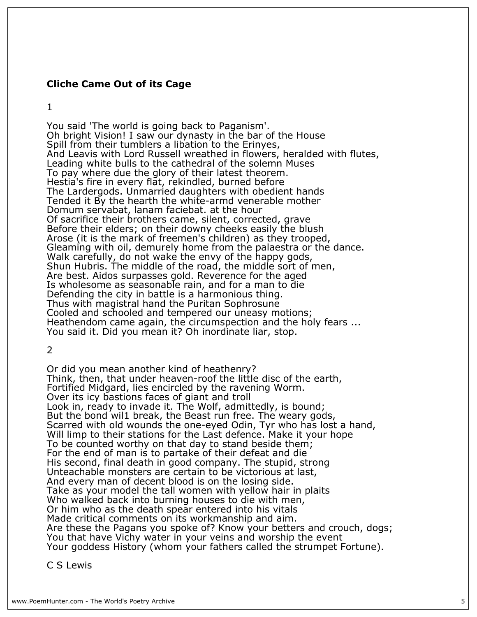### **Cliche Came Out of its Cage**

**1**

**You said 'The world is going back to Paganism'. Oh bright Vision! I saw our dynasty in the bar of the House Spill from their tumblers a libation to the Erinyes, And Leavis with Lord Russell wreathed in flowers, heralded with flutes, Leading white bulls to the cathedral of the solemn Muses To pay where due the glory of their latest theorem. Hestia's fire in every flat, rekindled, burned before The Lardergods. Unmarried daughters with obedient hands Tended it By the hearth the white-armd venerable mother Domum servabat, lanam faciebat. at the hour Of sacrifice their brothers came, silent, corrected, grave Before their elders; on their downy cheeks easily the blush Arose (it is the mark of freemen's children) as they trooped, Gleaming with oil, demurely home from the palaestra or the dance. Walk carefully, do not wake the envy of the happy gods, Shun Hubris. The middle of the road, the middle sort of men, Are best. Aidos surpasses gold. Reverence for the aged Is wholesome as seasonable rain, and for a man to die Defending the city in battle is a harmonious thing. Thus with magistral hand the Puritan Sophrosune Cooled and schooled and tempered our uneasy motions; Heathendom came again, the circumspection and the holy fears ... You said it. Did you mean it? Oh inordinate liar, stop.**

#### **2**

**Or did you mean another kind of heathenry? Think, then, that under heaven-roof the little disc of the earth, Fortified Midgard, lies encircled by the ravening Worm. Over its icy bastions faces of giant and troll Look in, ready to invade it. The Wolf, admittedly, is bound; But the bond wil1 break, the Beast run free. The weary gods, Scarred with old wounds the one-eyed Odin, Tyr who has lost a hand, Will limp to their stations for the Last defence. Make it your hope To be counted worthy on that day to stand beside them; For the end of man is to partake of their defeat and die His second, final death in good company. The stupid, strong Unteachable monsters are certain to be victorious at last, And every man of decent blood is on the losing side. Take as your model the tall women with yellow hair in plaits Who walked back into burning houses to die with men, Or him who as the death spear entered into his vitals Made critical comments on its workmanship and aim. Are these the Pagans you spoke of? Know your betters and crouch, dogs; You that have Vichy water in your veins and worship the event Your goddess History (whom your fathers called the strumpet Fortune).**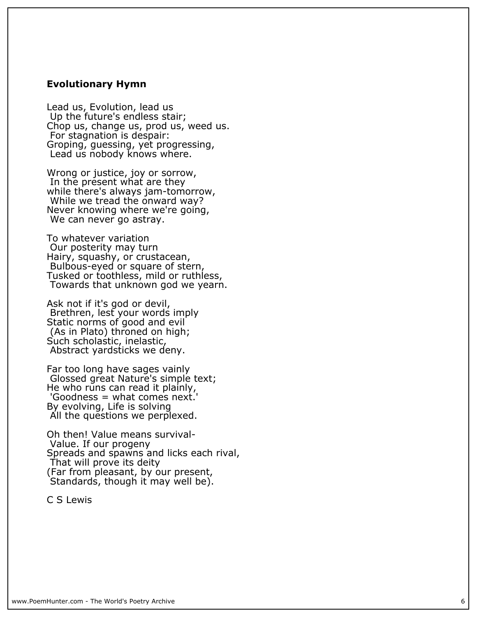#### **Evolutionary Hymn**

**Lead us, Evolution, lead us Up the future's endless stair; Chop us, change us, prod us, weed us. For stagnation is despair: Groping, guessing, yet progressing, Lead us nobody knows where.**

**Wrong or justice, joy or sorrow, In the present what are they while there's always jam-tomorrow, While we tread the onward way? Never knowing where we're going, We can never go astray.**

**To whatever variation Our posterity may turn Hairy, squashy, or crustacean, Bulbous-eyed or square of stern, Tusked or toothless, mild or ruthless, Towards that unknown god we yearn.**

**Ask not if it's god or devil, Brethren, lest your words imply Static norms of good and evil (As in Plato) throned on high; Such scholastic, inelastic, Abstract yardsticks we deny.**

**Far too long have sages vainly Glossed great Nature's simple text; He who runs can read it plainly, 'Goodness = what comes next.' By evolving, Life is solving All the questions we perplexed.**

**Oh then! Value means survival- Value. If our progeny Spreads and spawns and licks each rival, That will prove its deity (Far from pleasant, by our present, Standards, though it may well be).**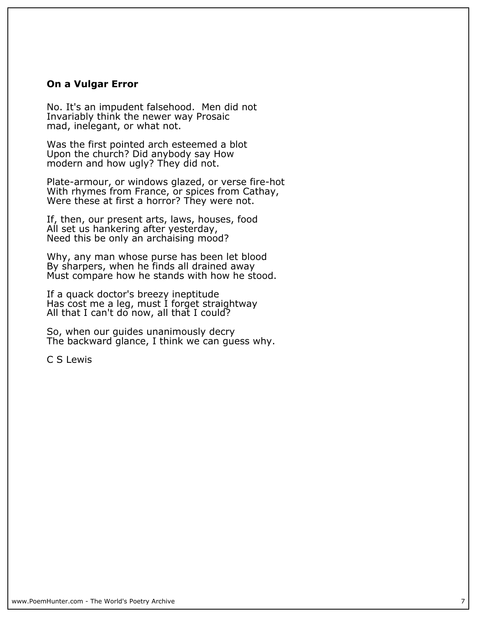#### **On a Vulgar Error**

**No. It's an impudent falsehood. Men did not Invariably think the newer way Prosaic mad, inelegant, or what not.**

**Was the first pointed arch esteemed a blot Upon the church? Did anybody say How modern and how ugly? They did not.**

**Plate-armour, or windows glazed, or verse fire-hot With rhymes from France, or spices from Cathay, Were these at first a horror? They were not.**

**If, then, our present arts, laws, houses, food All set us hankering after yesterday, Need this be only an archaising mood?**

**Why, any man whose purse has been let blood By sharpers, when he finds all drained away Must compare how he stands with how he stood.**

**If a quack doctor's breezy ineptitude Has cost me a leg, must I forget straightway All that I can't do now, all that I could?**

**So, when our guides unanimously decry The backward glance, I think we can guess why.**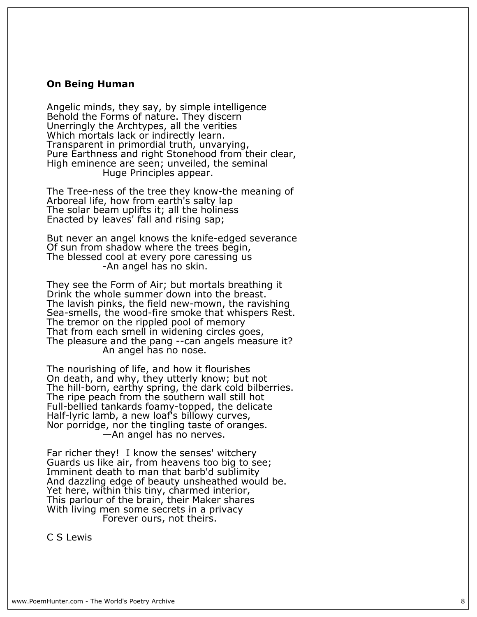#### **On Being Human**

**Angelic minds, they say, by simple intelligence Behold the Forms of nature. They discern Unerringly the Archtypes, all the verities Which mortals lack or indirectly learn. Transparent in primordial truth, unvarying, Pure Earthness and right Stonehood from their clear, High eminence are seen; unveiled, the seminal Huge Principles appear.**

**The Tree-ness of the tree they know-the meaning of Arboreal life, how from earth's salty lap The solar beam uplifts it; all the holiness Enacted by leaves' fall and rising sap;**

**But never an angel knows the knife-edged severance Of sun from shadow where the trees begin, The blessed cool at every pore caressing us -An angel has no skin.**

**They see the Form of Air; but mortals breathing it Drink the whole summer down into the breast. The lavish pinks, the field new-mown, the ravishing Sea-smells, the wood-fire smoke that whispers Rest. The tremor on the rippled pool of memory That from each smell in widening circles goes, The pleasure and the pang --can angels measure it? An angel has no nose.**

**The nourishing of life, and how it flourishes On death, and why, they utterly know; but not The hill-born, earthy spring, the dark cold bilberries. The ripe peach from the southern wall still hot Full-bellied tankards foamy-topped, the delicate Half-lyric lamb, a new loaf's billowy curves, Nor porridge, nor the tingling taste of oranges. —An angel has no nerves.**

**Far richer they! I know the senses' witchery Guards us like air, from heavens too big to see; Imminent death to man that barb'd sublimity And dazzling edge of beauty unsheathed would be. Yet here, within this tiny, charmed interior, This parlour of the brain, their Maker shares With living men some secrets in a privacy Forever ours, not theirs.**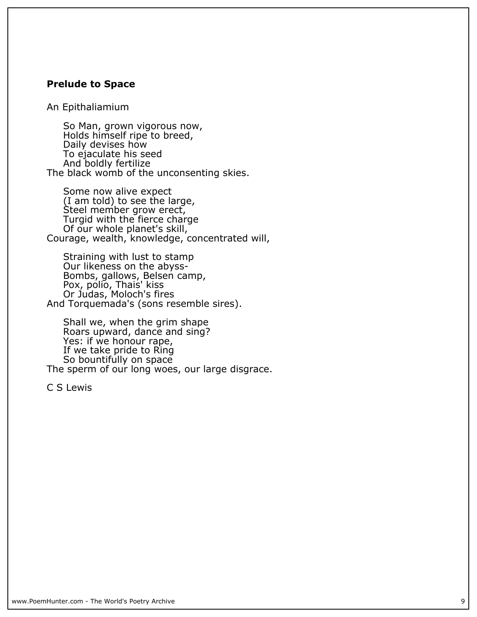### **Prelude to Space**

**An Epithaliamium**

 **So Man, grown vigorous now, Holds himself ripe to breed, Daily devises how To ejaculate his seed And boldly fertilize The black womb of the unconsenting skies.**

 **Some now alive expect (I am told) to see the large, Steel member grow erect,** Turgid with the fierce charge  **Of our whole planet's skill, Courage, wealth, knowledge, concentrated will,**

 **Straining with lust to stamp Our likeness on the abyss- Bombs, gallows, Belsen camp, Pox, polio, Thais' kiss Or Judas, Moloch's fires And Torquemada's (sons resemble sires).**

 **Shall we, when the grim shape Roars upward, dance and sing? Yes: if we honour rape, If we take pride to Ring So bountifully on space The sperm of our long woes, our large disgrace.**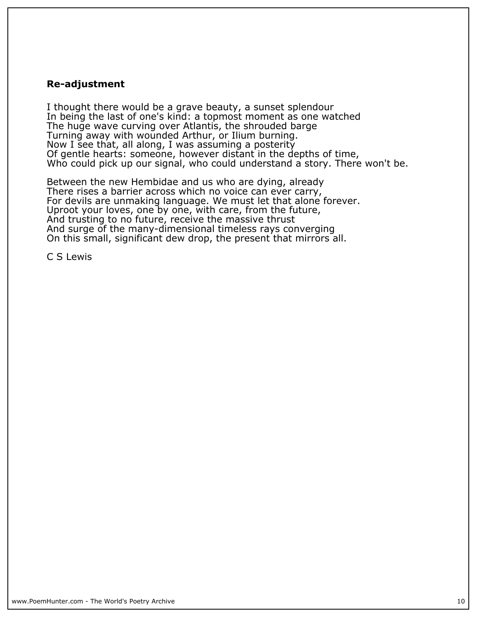#### **Re-adjustment**

**I thought there would be a grave beauty, a sunset splendour** In being the last of one's kind: a topmost moment as one watched **The huge wave curving over Atlantis, the shrouded barge Turning away with wounded Arthur, or Ilium burning. Now I see that, all along, I was assuming a posterity Of gentle hearts: someone, however distant in the depths of time, Who could pick up our signal, who could understand a story. There won't be.**

**Between the new Hembidae and us who are dying, already There rises a barrier across which no voice can ever carry,** For devils are unmaking language. We must let that alone forever. **Uproot your loves, one by one, with care, from the future, And trusting to no future, receive the massive thrust And surge of the many-dimensional timeless rays converging On this small, significant dew drop, the present that mirrors all.**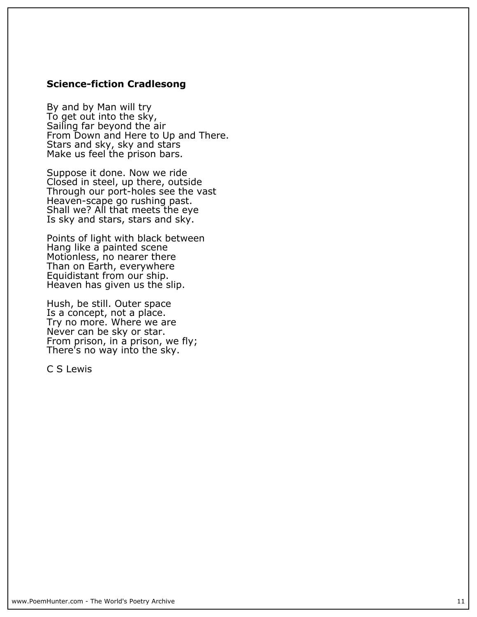#### **Science-fiction Cradlesong**

**By and by Man will try To get out into the sky,** Sailing far beyond the air **From Down and Here to Up and There. Stars and sky, sky and stars** Make us feel the prison bars.

**Suppose it done. Now we ride Closed in steel, up there, outside Through our port-holes see the vast Heaven-scape go rushing past. Shall we? All that meets the eye Is sky and stars, stars and sky.**

**Points of light with black between Hang like a painted scene Motionless, no nearer there Than on Earth, everywhere Equidistant from our ship. Heaven has given us the slip.**

**Hush, be still. Outer space Is a concept, not a place. Try no more. Where we are Never can be sky or star. From prison, in a prison, we fly; There's no way into the sky.**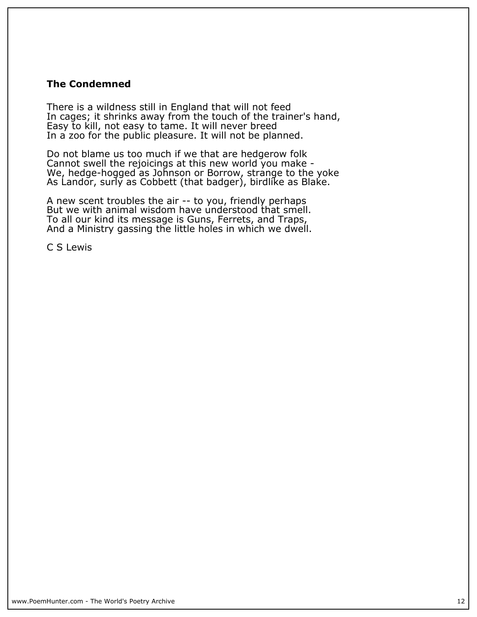# **The Condemned**

**There is a wildness still in England that will not feed In cages; it shrinks away from the touch of the trainer's hand, Easy to kill, not easy to tame. It will never breed In a zoo for the public pleasure. It will not be planned.**

**Do not blame us too much if we that are hedgerow folk Cannot swell the rejoicings at this new world you make - We, hedge-hogged as Johnson or Borrow, strange to the yoke As Landor, surly as Cobbett (that badger), birdlike as Blake.**

**A new scent troubles the air -- to you, friendly perhaps** But we with animal wisdom have understood that smell. **To all our kind its message is Guns, Ferrets, and Traps, And a Ministry gassing the little holes in which we dwell.**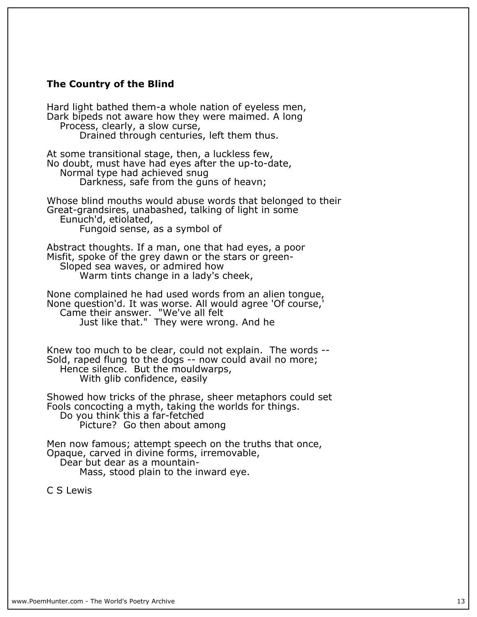#### **The Country of the Blind**

**Hard light bathed them-a whole nation of eyeless men, Dark bipeds not aware how they were maimed. A long Process, clearly, a slow curse, Drained through centuries, left them thus. At some transitional stage, then, a luckless few,**

**No doubt, must have had eyes after the up-to-date, Normal type had achieved snug Darkness, safe from the guns of heavn;**

**Whose blind mouths would abuse words that belonged to their Great-grandsires, unabashed, talking of light in some Eunuch'd, etiolated, Fungoid sense, as a symbol of**

**Abstract thoughts. If a man, one that had eyes, a poor Misfit, spoke of the grey dawn or the stars or green- Sloped sea waves, or admired how Warm tints change in a lady's cheek,**

**None complained he had used words from an alien tongue, None question'd. It was worse. All would agree 'Of course,' Came their answer. "We've all felt Just like that." They were wrong. And he**

**Knew too much to be clear, could not explain. The words -- Sold, raped flung to the dogs -- now could avail no more; Hence silence. But the mouldwarps, With glib confidence, easily**

**Showed how tricks of the phrase, sheer metaphors could set Fools concocting a myth, taking the worlds for things. Do you think this a far-fetched Picture? Go then about among**

**Men now famous; attempt speech on the truths that once, Opaque, carved in divine forms, irremovable, Dear but dear as a mountain- Mass, stood plain to the inward eye.**